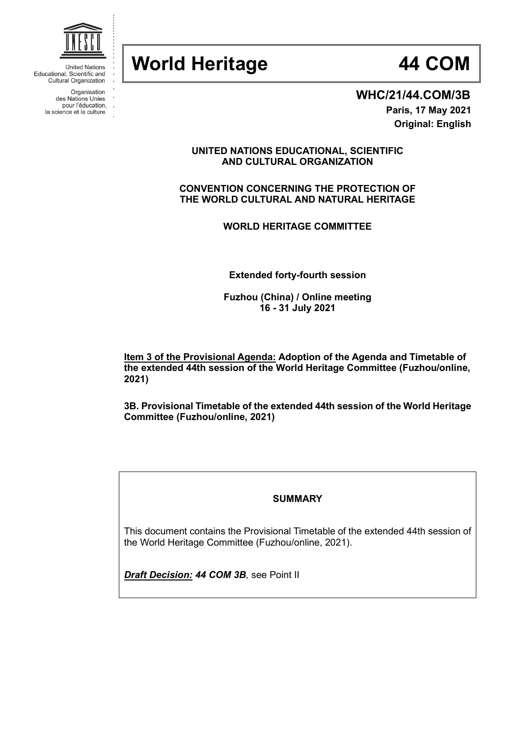# **World Heritage 44 COM**



**WHC/21/44.COM/3B**

**Paris, 17 May 2021 Original: English**

**UNITED NATIONS EDUCATIONAL, SCIENTIFIC AND CULTURAL ORGANIZATION**

**CONVENTION CONCERNING THE PROTECTION OF THE WORLD CULTURAL AND NATURAL HERITAGE**

**WORLD HERITAGE COMMITTEE**

**Extended forty-fourth session**

**Fuzhou (China) / Online meeting 16 - 31 July 2021**

**Item 3 of the Provisional Agenda: Adoption of the Agenda and Timetable of the extended 44th session of the World Heritage Committee (Fuzhou/online, 2021)**

**3B. Provisional Timetable of the extended 44th session of the World Heritage Committee (Fuzhou/online, 2021)**

### **SUMMARY**

This document contains the Provisional Timetable of the extended 44th session of the World Heritage Committee (Fuzhou/online, 2021).

*Draft Decision: 44 COM 3B,* see Point II



**United Nations** Educational, Scientific and Cultural Organization

> Organisation des Nations Unies

pour l'éducation,

la science et la culture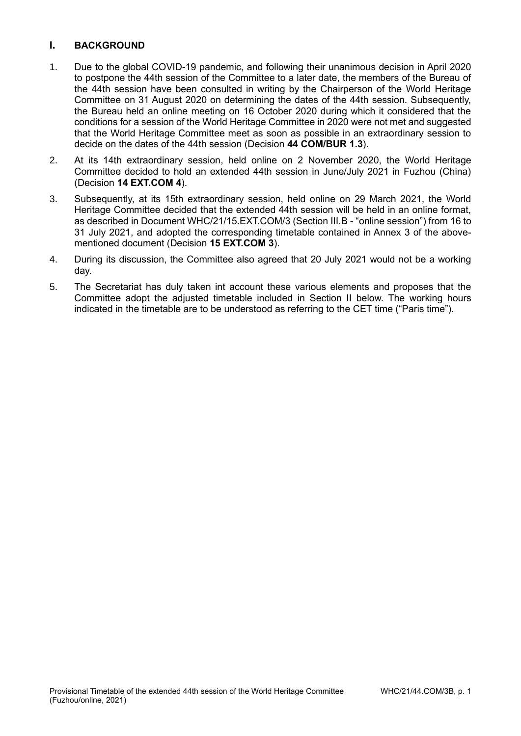# **I. BACKGROUND**

- 1. Due to the global COVID-19 pandemic, and following their unanimous decision in April 2020 to postpone the 44th session of the Committee to a later date, the members of the Bureau of the 44th session have been consulted in writing by the Chairperson of the World Heritage Committee on 31 August 2020 on determining the dates of the 44th session. Subsequently, the Bureau held an online meeting on 16 October 2020 during which it considered that the conditions for a session of the World Heritage Committee in 2020 were not met and suggested that the World Heritage Committee meet as soon as possible in an extraordinary session to decide on the dates of the 44th session (Decision **44 COM/BUR 1.3**).
- 2. At its 14th extraordinary session, held online on 2 November 2020, the World Heritage Committee decided to hold an extended 44th session in June/July 2021 in Fuzhou (China) (Decision **14 EXT.COM 4**).
- 3. Subsequently, at its 15th extraordinary session, held online on 29 March 2021, the World Heritage Committee decided that the extended 44th session will be held in an online format, as described in Document WHC/21/15.EXT.COM/3 (Section III.B - "online session") from 16 to 31 July 2021, and adopted the corresponding timetable contained in Annex 3 of the abovementioned document (Decision **15 EXT.COM 3**).
- 4. During its discussion, the Committee also agreed that 20 July 2021 would not be a working day.
- 5. The Secretariat has duly taken int account these various elements and proposes that the Committee adopt the adjusted timetable included in Section II below. The working hours indicated in the timetable are to be understood as referring to the CET time ("Paris time").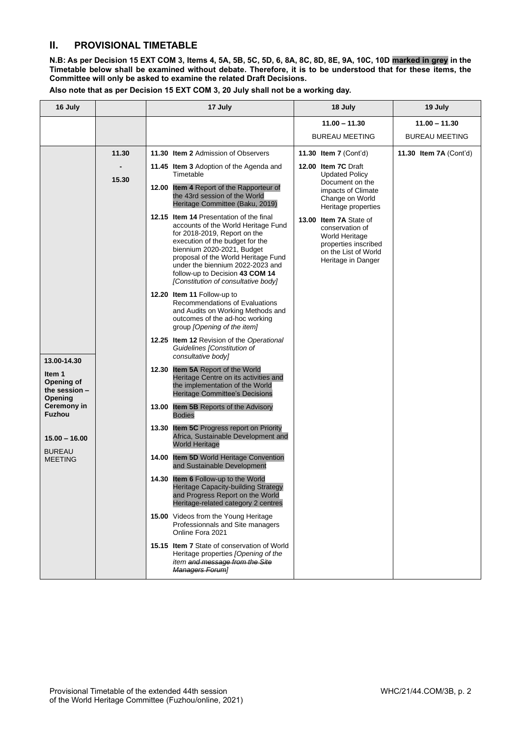## **II. PROVISIONAL TIMETABLE**

**N.B: As per Decision 15 EXT COM 3, Items 4, 5A, 5B, 5C, 5D, 6, 8A, 8C, 8D, 8E, 9A, 10C, 10D marked in grey in the Timetable below shall be examined without debate. Therefore, it is to be understood that for these items, the Committee will only be asked to examine the related Draft Decisions.**

**Also note that as per Decision 15 EXT COM 3, 20 July shall not be a working day.**

| 16 July                                                                                                                                                 |       | 17 July                                                                                                                                                                                                                                                                                                                              | 18 July                                                                                                                           | 19 July                |
|---------------------------------------------------------------------------------------------------------------------------------------------------------|-------|--------------------------------------------------------------------------------------------------------------------------------------------------------------------------------------------------------------------------------------------------------------------------------------------------------------------------------------|-----------------------------------------------------------------------------------------------------------------------------------|------------------------|
|                                                                                                                                                         |       |                                                                                                                                                                                                                                                                                                                                      | $11.00 - 11.30$                                                                                                                   | $11.00 - 11.30$        |
|                                                                                                                                                         |       |                                                                                                                                                                                                                                                                                                                                      | <b>BUREAU MEETING</b>                                                                                                             | <b>BUREAU MEETING</b>  |
|                                                                                                                                                         | 11.30 | 11.30 Item 2 Admission of Observers                                                                                                                                                                                                                                                                                                  | 11.30 Item 7 (Cont'd)                                                                                                             | 11.30 Item 7A (Cont'd) |
|                                                                                                                                                         | 15.30 | 11.45 Item 3 Adoption of the Agenda and<br>Timetable<br>12.00 Item 4 Report of the Rapporteur of<br>the 43rd session of the World<br>Heritage Committee (Baku, 2019)                                                                                                                                                                 | 12.00 Item 7C Draft<br><b>Updated Policy</b><br>Document on the<br>impacts of Climate<br>Change on World<br>Heritage properties   |                        |
| 13.00-14.30<br>Item 1<br>Opening of<br>the session $-$<br>Opening<br>Ceremony in<br><b>Fuzhou</b><br>$15.00 - 16.00$<br><b>BUREAU</b><br><b>MEETING</b> |       | 12.15 Item 14 Presentation of the final<br>accounts of the World Heritage Fund<br>for 2018-2019, Report on the<br>execution of the budget for the<br>biennium 2020-2021, Budget<br>proposal of the World Heritage Fund<br>under the biennium 2022-2023 and<br>follow-up to Decision 43 COM 14<br>[Constitution of consultative body] | 13.00 Item 7A State of<br>conservation of<br>World Heritage<br>properties inscribed<br>on the List of World<br>Heritage in Danger |                        |
|                                                                                                                                                         |       | 12.20 Item 11 Follow-up to<br>Recommendations of Evaluations<br>and Audits on Working Methods and<br>outcomes of the ad-hoc working<br>group [Opening of the item]                                                                                                                                                                   |                                                                                                                                   |                        |
|                                                                                                                                                         |       | 12.25 Item 12 Revision of the Operational<br>Guidelines [Constitution of<br>consultative body]                                                                                                                                                                                                                                       |                                                                                                                                   |                        |
|                                                                                                                                                         |       | 12.30 Item 5A Report of the World<br>Heritage Centre on its activities and<br>the implementation of the World<br><b>Heritage Committee's Decisions</b>                                                                                                                                                                               |                                                                                                                                   |                        |
|                                                                                                                                                         |       | 13.00 Item 5B Reports of the Advisory<br><b>Bodies</b>                                                                                                                                                                                                                                                                               |                                                                                                                                   |                        |
|                                                                                                                                                         |       | 13.30 Item 5C Progress report on Priority<br>Africa, Sustainable Development and<br><b>World Heritage</b>                                                                                                                                                                                                                            |                                                                                                                                   |                        |
|                                                                                                                                                         |       | 14.00 Item 5D World Heritage Convention<br>and Sustainable Development                                                                                                                                                                                                                                                               |                                                                                                                                   |                        |
|                                                                                                                                                         |       | <b>14.30 Item 6 Follow-up to the World</b><br>Heritage Capacity-building Strategy<br>and Progress Report on the World<br>Heritage-related category 2 centres                                                                                                                                                                         |                                                                                                                                   |                        |
|                                                                                                                                                         |       | 15.00 Videos from the Young Heritage<br>Professionnals and Site managers<br>Online Fora 2021                                                                                                                                                                                                                                         |                                                                                                                                   |                        |
|                                                                                                                                                         |       | 15.15 Item 7 State of conservation of World<br>Heritage properties [Opening of the<br>item and message from the Site<br>Managers Foruml                                                                                                                                                                                              |                                                                                                                                   |                        |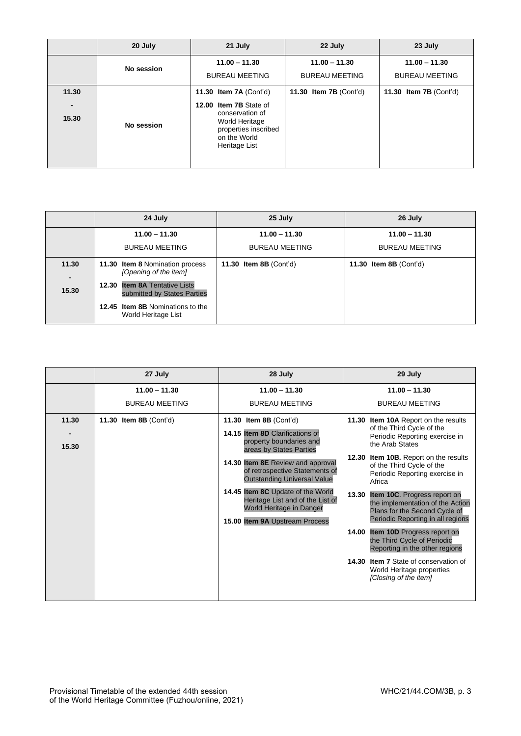|                                  | 20 July    | 21 July                                                                                                                                        | 22 July                                  | 23 July                                  |
|----------------------------------|------------|------------------------------------------------------------------------------------------------------------------------------------------------|------------------------------------------|------------------------------------------|
|                                  | No session | $11.00 - 11.30$<br><b>BUREAU MEETING</b>                                                                                                       | $11.00 - 11.30$<br><b>BUREAU MEETING</b> | $11.00 - 11.30$<br><b>BUREAU MEETING</b> |
| 11.30<br>$\blacksquare$<br>15.30 | No session | 11.30 Item 7A (Cont'd)<br>12.00 Item 7B State of<br>conservation of<br>World Heritage<br>properties inscribed<br>on the World<br>Heritage List | 11.30 Item $7B$ (Cont'd)                 | 11.30 Item 7B (Cont'd)                   |

|                         | 24 July                                                      | 25 July                | 26 July                       |
|-------------------------|--------------------------------------------------------------|------------------------|-------------------------------|
|                         | $11.00 - 11.30$                                              | $11.00 - 11.30$        | $11.00 - 11.30$               |
|                         | <b>BUREAU MEETING</b>                                        | <b>BUREAU MEETING</b>  | <b>BUREAU MEETING</b>         |
| 11.30<br>$\blacksquare$ | 11.30 Item 8 Nomination process<br>[Opening of the item]     | 11.30 Item 8B (Cont'd) | <b>11.30 Item 8B (Cont'd)</b> |
| 15.30                   | 12.30 Item 8A Tentative Lists<br>submitted by States Parties |                        |                               |
|                         | 12.45 Item 8B Nominations to the<br>World Heritage List      |                        |                               |

|                | 27 July                       | 28 July                                                                                                                                                                                                                                                                                                                                                                    | 29 July                                                                                                                                                                                                                                                                                                                                                                                                                                                                                                                                                                                                    |
|----------------|-------------------------------|----------------------------------------------------------------------------------------------------------------------------------------------------------------------------------------------------------------------------------------------------------------------------------------------------------------------------------------------------------------------------|------------------------------------------------------------------------------------------------------------------------------------------------------------------------------------------------------------------------------------------------------------------------------------------------------------------------------------------------------------------------------------------------------------------------------------------------------------------------------------------------------------------------------------------------------------------------------------------------------------|
|                | $11.00 - 11.30$               | $11.00 - 11.30$                                                                                                                                                                                                                                                                                                                                                            | $11.00 - 11.30$                                                                                                                                                                                                                                                                                                                                                                                                                                                                                                                                                                                            |
|                | <b>BUREAU MEETING</b>         | <b>BUREAU MEETING</b>                                                                                                                                                                                                                                                                                                                                                      | <b>BUREAU MEETING</b>                                                                                                                                                                                                                                                                                                                                                                                                                                                                                                                                                                                      |
| 11.30<br>15.30 | <b>11.30 Item 8B (Cont'd)</b> | <b>11.30 Item 8B (Cont'd)</b><br>14.15 Item 8D Clarifications of<br>property boundaries and<br>areas by States Parties<br>14.30 Item 8E Review and approval<br>of retrospective Statements of<br><b>Outstanding Universal Value</b><br>14.45 Item 8C Update of the World<br>Heritage List and of the List of<br>World Heritage in Danger<br>15.00 Item 9A Upstream Process | 11.30 Item 10A Report on the results<br>of the Third Cycle of the<br>Periodic Reporting exercise in<br>the Arab States<br>12.30 Item 10B. Report on the results<br>of the Third Cycle of the<br>Periodic Reporting exercise in<br>Africa<br><b>Item 10C.</b> Progress report on<br>13.30<br>the implementation of the Action<br>Plans for the Second Cycle of<br>Periodic Reporting in all regions<br>Item 10D Progress report on<br>14.00<br>the Third Cycle of Periodic<br>Reporting in the other regions<br>14.30 Item 7 State of conservation of<br>World Heritage properties<br>[Closing of the item] |
|                |                               |                                                                                                                                                                                                                                                                                                                                                                            |                                                                                                                                                                                                                                                                                                                                                                                                                                                                                                                                                                                                            |